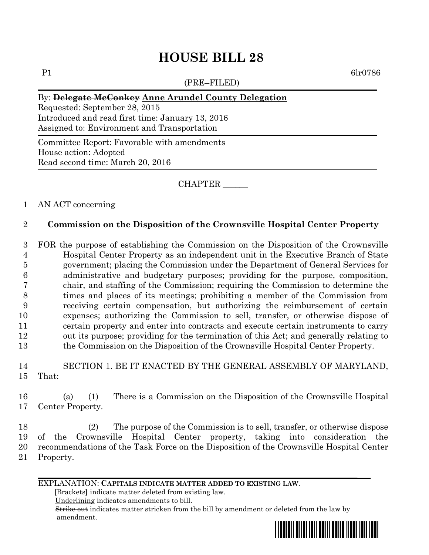# **HOUSE BILL 28**

(PRE–FILED)

P1 6lr0786

#### By: **Delegate McConkey Anne Arundel County Delegation**

Requested: September 28, 2015 Introduced and read first time: January 13, 2016 Assigned to: Environment and Transportation

Committee Report: Favorable with amendments House action: Adopted Read second time: March 20, 2016

CHAPTER \_\_\_\_\_\_

## 1 AN ACT concerning

## 2 **Commission on the Disposition of the Crownsville Hospital Center Property**

 FOR the purpose of establishing the Commission on the Disposition of the Crownsville Hospital Center Property as an independent unit in the Executive Branch of State government; placing the Commission under the Department of General Services for administrative and budgetary purposes; providing for the purpose, composition, chair, and staffing of the Commission; requiring the Commission to determine the times and places of its meetings; prohibiting a member of the Commission from receiving certain compensation, but authorizing the reimbursement of certain expenses; authorizing the Commission to sell, transfer, or otherwise dispose of certain property and enter into contracts and execute certain instruments to carry out its purpose; providing for the termination of this Act; and generally relating to the Commission on the Disposition of the Crownsville Hospital Center Property.

14 SECTION 1. BE IT ENACTED BY THE GENERAL ASSEMBLY OF MARYLAND, 15 That:

16 (a) (1) There is a Commission on the Disposition of the Crownsville Hospital 17 Center Property.

 (2) The purpose of the Commission is to sell, transfer, or otherwise dispose of the Crownsville Hospital Center property, taking into consideration the recommendations of the Task Force on the Disposition of the Crownsville Hospital Center 21 Property.

EXPLANATION: **CAPITALS INDICATE MATTER ADDED TO EXISTING LAW**.

 **[**Brackets**]** indicate matter deleted from existing law.

Underlining indicates amendments to bill.

 Strike out indicates matter stricken from the bill by amendment or deleted from the law by amendment.

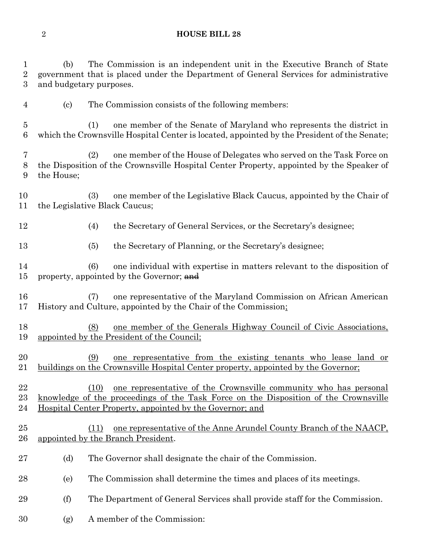#### **HOUSE BILL 28**

 (b) The Commission is an independent unit in the Executive Branch of State government that is placed under the Department of General Services for administrative and budgetary purposes.

- (c) The Commission consists of the following members:
- (1) one member of the Senate of Maryland who represents the district in which the Crownsville Hospital Center is located, appointed by the President of the Senate;
- (2) one member of the House of Delegates who served on the Task Force on the Disposition of the Crownsville Hospital Center Property, appointed by the Speaker of the House;
- (3) one member of the Legislative Black Caucus, appointed by the Chair of the Legislative Black Caucus;
- (4) the Secretary of General Services, or the Secretary's designee;
- (5) the Secretary of Planning, or the Secretary's designee;
- (6) one individual with expertise in matters relevant to the disposition of 15 property, appointed by the Governor; and
- (7) one representative of the Maryland Commission on African American History and Culture, appointed by the Chair of the Commission;
- (8) one member of the Generals Highway Council of Civic Associations, appointed by the President of the Council;
- (9) one representative from the existing tenants who lease land or buildings on the Crownsville Hospital Center property, appointed by the Governor;
- (10) one representative of the Crownsville community who has personal knowledge of the proceedings of the Task Force on the Disposition of the Crownsville Hospital Center Property, appointed by the Governor; and
- (11) one representative of the Anne Arundel County Branch of the NAACP, appointed by the Branch President.
- 27 (d) The Governor shall designate the chair of the Commission.
- (e) The Commission shall determine the times and places of its meetings.
- (f) The Department of General Services shall provide staff for the Commission.
- (g) A member of the Commission: